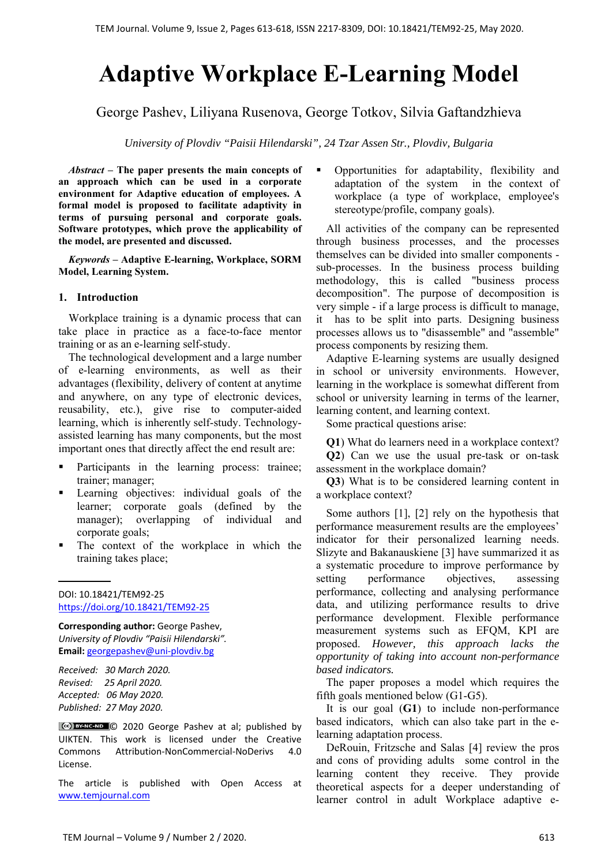# **Adaptive Workplace E-Learning Model**

George Pashev, Liliyana Rusenova, George Totkov, Silvia Gaftandzhieva

*University of Plovdiv "Paisii Hilendarski", 24 Tzar Assen Str., Plovdiv, Bulgaria*

*Abstract –* **The paper presents the main concepts of an approach which can be used in a corporate environment for Adaptive education of employees. A formal model is proposed to facilitate adaptivity in terms of pursuing personal and corporate goals. Software prototypes, which prove the applicability of the model, are presented and discussed.**

*Keywords –* **Adaptive E-learning, Workplace, SORM Model, Learning System.** 

# **1. Introduction**

Workplace training is a dynamic process that can take place in practice as a face-to-face mentor training or as an e-learning self-study.

The technological development and a large number of e-learning environments, as well as their advantages (flexibility, delivery of content at anytime and anywhere, on any type of electronic devices, reusability, etc.), give rise to computer-aided learning, which is inherently self-study. Technologyassisted learning has many components, but the most important ones that directly affect the end result are:

- **Participants** in the learning process: trainee; trainer; manager;
- Learning objectives: individual goals of the learner; corporate goals (defined by the manager); overlapping of individual and corporate goals;
- The context of the workplace in which the training takes place;

DOI: 10.18421/TEM92-25 https://doi.org/10.18421/TEM92-25

**Corresponding author:** George Pashev, *University of Plovdiv "Paisii Hilendarski".* **Email:** georgepashev@uni‐plovdiv.bg

*Received: 30 March 2020. Revised: 25 April 2020. Accepted: 06 May 2020. Published: 27 May 2020.* 

C<sup>cc</sup>) BY-NC-ND C 2020 George Pashev at al; published by UIKTEN. This work is licensed under the Creative Commons Attribution‐NonCommercial‐NoDerivs 4.0 License.

The article is published with Open Access at www.temjournal.com

 Opportunities for adaptability, flexibility and adaptation of the system in the context of workplace (a type of workplace, employee's stereotype/profile, company goals).

All activities of the company can be represented through business processes, and the processes themselves can be divided into smaller components sub-processes. In the business process building methodology, this is called "business process decomposition". The purpose of decomposition is very simple - if a large process is difficult to manage, it has to be split into parts. Designing business processes allows us to "disassemble" and "assemble" process components by resizing them.

Adaptive E-learning systems are usually designed in school or university environments. However, learning in the workplace is somewhat different from school or university learning in terms of the learner, learning content, and learning context.

Some practical questions arise:

**Q1**) What do learners need in a workplace context? **Q2**) Can we use the usual pre-task or on-task assessment in the workplace domain?

**Q3**) What is to be considered learning content in a workplace context?

Some authors [1], [2] rely on the hypothesis that performance measurement results are the employees' indicator for their personalized learning needs. Slizyte and Bakanauskiene [3] have summarized it as a systematic procedure to improve performance by setting performance objectives, assessing performance, collecting and analysing performance data, and utilizing performance results to drive performance development. Flexible performance measurement systems such as EFQM, KPI are proposed. *However, this approach lacks the opportunity of taking into account non-performance based indicators.* 

The paper proposes a model which requires the fifth goals mentioned below (G1-G5).

It is our goal (**G1**) to include non-performance based indicators, which can also take part in the elearning adaptation process.

DeRouin, Fritzsche and Salas [4] review the pros and cons of providing adults some control in the learning content they receive. They provide theoretical aspects for a deeper understanding of learner control in adult Workplace adaptive e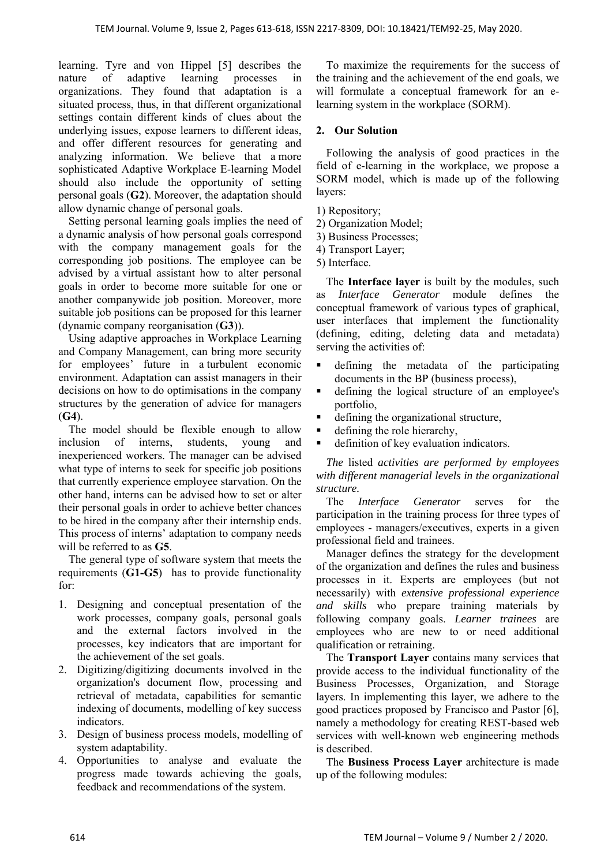learning. Tyre and von Hippel [5] describes the nature of adaptive learning processes in organizations. They found that adaptation is a situated process, thus, in that different organizational settings contain different kinds of clues about the underlying issues, expose learners to different ideas, and offer different resources for generating and analyzing information. We believe that a more sophisticated Adaptive Workplace E-learning Model should also include the opportunity of setting personal goals (**G2**). Moreover, the adaptation should allow dynamic change of personal goals.

Setting personal learning goals implies the need of a dynamic analysis of how personal goals correspond with the company management goals for the corresponding job positions. The employee can be advised by a virtual assistant how to alter personal goals in order to become more suitable for one or another companywide job position. Moreover, more suitable job positions can be proposed for this learner (dynamic company reorganisation (**G3**)).

Using adaptive approaches in Workplace Learning and Company Management, can bring more security for employees' future in a turbulent economic environment. Adaptation can assist managers in their decisions on how to do optimisations in the company structures by the generation of advice for managers (**G4**).

The model should be flexible enough to allow inclusion of interns, students, young and inexperienced workers. The manager can be advised what type of interns to seek for specific job positions that currently experience employee starvation. On the other hand, interns can be advised how to set or alter their personal goals in order to achieve better chances to be hired in the company after their internship ends. This process of interns' adaptation to company needs will be referred to as **G5**.

The general type of software system that meets the requirements (**G1-G5**) has to provide functionality for:

- 1. Designing and conceptual presentation of the work processes, company goals, personal goals and the external factors involved in the processes, key indicators that are important for the achievement of the set goals.
- 2. Digitizing/digitizing documents involved in the organization's document flow, processing and retrieval of metadata, capabilities for semantic indexing of documents, modelling of key success indicators.
- 3. Design of business process models, modelling of system adaptability.
- 4. Opportunities to analyse and evaluate the progress made towards achieving the goals, feedback and recommendations of the system.

To maximize the requirements for the success of the training and the achievement of the end goals, we will formulate a conceptual framework for an elearning system in the workplace (SORM).

# **2. Our Solution**

Following the analysis of good practices in the field of e-learning in the workplace, we propose a SORM model, which is made up of the following layers:

1) Repository;

- 2) Organization Model;
- 3) Business Processes;
- 4) Transport Layer;
- 5) Interface.

The **Interface layer** is built by the modules, such as *Interface Generator* module defines the conceptual framework of various types of graphical, user interfaces that implement the functionality (defining, editing, deleting data and metadata) serving the activities of:

- defining the metadata of the participating documents in the BP (business process),
- defining the logical structure of an employee's portfolio,
- defining the organizational structure,
- defining the role hierarchy,
- definition of key evaluation indicators.

*The* listed *activities are performed by employees with different managerial levels in the organizational structure.* 

The *Interface Generator* serves for the participation in the training process for three types of employees - managers/executives, experts in a given professional field and trainees.

Manager defines the strategy for the development of the organization and defines the rules and business processes in it. Experts are employees (but not necessarily) with *extensive professional experience and skills* who prepare training materials by following company goals. *Learner trainees* are employees who are new to or need additional qualification or retraining.

The **Transport Layer** contains many services that provide access to the individual functionality of the Business Processes, Organization, and Storage layers. In implementing this layer, we adhere to the good practices proposed by Francisco and Pastor [6], namely a methodology for creating REST-based web services with well-known web engineering methods is described.

The **Business Process Layer** architecture is made up of the following modules: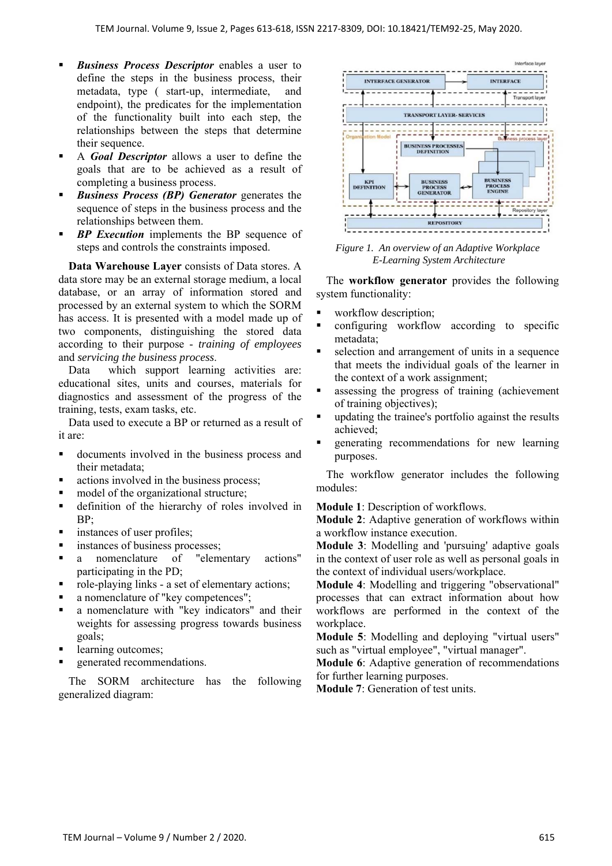- *Business Process Descriptor* enables a user to define the steps in the business process, their metadata, type ( start-up, intermediate, and endpoint), the predicates for the implementation of the functionality built into each step, the relationships between the steps that determine their sequence.
- A *Goal Descriptor* allows a user to define the goals that are to be achieved as a result of completing a business process.
- *Business Process (BP) Generator* generates the sequence of steps in the business process and the relationships between them.
- *BP Execution* implements the BP sequence of steps and controls the constraints imposed.

**Data Warehouse Layer** consists of Data stores. A data store may be an external storage medium, a local database, or an array of information stored and processed by an external system to which the SORM has access. It is presented with a model made up of two components, distinguishing the stored data according to their purpose - *training of employees* and *servicing the business process*.

Data which support learning activities are: educational sites, units and courses, materials for diagnostics and assessment of the progress of the training, tests, exam tasks, etc.

Data used to execute a BP or returned as a result of it are:

- documents involved in the business process and their metadata;
- actions involved in the business process;
- model of the organizational structure;
- definition of the hierarchy of roles involved in BP;
- **Instances of user profiles;**
- **Instances of business processes;**
- a nomenclature of "elementary actions" participating in the PD;
- role-playing links a set of elementary actions;
- a nomenclature of "key competences";
- a nomenclature with "key indicators" and their weights for assessing progress towards business goals;
- learning outcomes;
- generated recommendations.

The SORM architecture has the following generalized diagram:



*Figure 1. An overview of an Adaptive Workplace E-Learning System Architecture* 

The **workflow generator** provides the following system functionality:

- workflow description;
- configuring workflow according to specific metadata;
- selection and arrangement of units in a sequence that meets the individual goals of the learner in the context of a work assignment;
- assessing the progress of training (achievement of training objectives);
- updating the trainee's portfolio against the results achieved;
- generating recommendations for new learning purposes.

The workflow generator includes the following modules:

**Module 1**: Description of workflows.

**Module 2**: Adaptive generation of workflows within a workflow instance execution.

**Module 3**: Modelling and 'pursuing' adaptive goals in the context of user role as well as personal goals in the context of individual users/workplace.

**Module 4**: Modelling and triggering "observational" processes that can extract information about how workflows are performed in the context of the workplace.

**Module 5**: Modelling and deploying "virtual users" such as "virtual employee", "virtual manager".

**Module 6**: Adaptive generation of recommendations for further learning purposes.

**Module 7**: Generation of test units.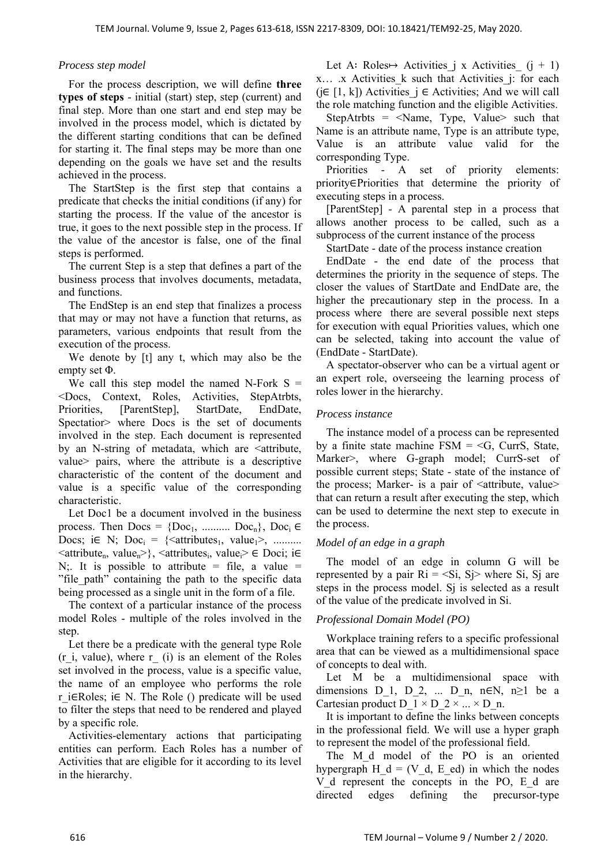#### *Process step model*

For the process description, we will define **three types of steps** - initial (start) step, step (current) and final step. More than one start and end step may be involved in the process model, which is dictated by the different starting conditions that can be defined for starting it. The final steps may be more than one depending on the goals we have set and the results achieved in the process.

The StartStep is the first step that contains a predicate that checks the initial conditions (if any) for starting the process. If the value of the ancestor is true, it goes to the next possible step in the process. If the value of the ancestor is false, one of the final steps is performed.

The current Step is a step that defines a part of the business process that involves documents, metadata, and functions.

The EndStep is an end step that finalizes a process that may or may not have a function that returns, as parameters, various endpoints that result from the execution of the process.

We denote by [t] any t, which may also be the empty set Φ.

We call this step model the named N-Fork  $S =$ <Docs, Context, Roles, Activities, StepAtrbts, Priorities, [ParentStep], StartDate, EndDate, Spectatior> where Docs is the set of documents involved in the step. Each document is represented by an N-string of metadata, which are <attribute, value> pairs, where the attribute is a descriptive characteristic of the content of the document and value is a specific value of the corresponding characteristic.

Let Doc1 be a document involved in the business process. Then  $Docs = \{Doc_1, \dots, \dots, Doc_n\}$ ,  $Doc_i \in$ Docs; i $\in$  N; Doc<sub>i</sub> = {<attributes<sub>1</sub>, value<sub>1</sub>>, ..........  $\langle$ attribute<sub>n</sub>, value<sub>n</sub> $>$ },  $\langle$ attributes<sub>i</sub>, value<sub>i</sub> $\rangle \in$  Doci; i $\in$ N;. It is possible to attribute = file, a value = "file path" containing the path to the specific data being processed as a single unit in the form of a file.

The context of a particular instance of the process model Roles - multiple of the roles involved in the step.

Let there be a predicate with the general type Role  $(r_i, value)$ , where  $r_i$  (i) is an element of the Roles set involved in the process, value is a specific value, the name of an employee who performs the role r\_i∈Roles; i∈ N. The Role () predicate will be used to filter the steps that need to be rendered and played by a specific role.

Activities-elementary actions that participating entities can perform. Each Roles has a number of Activities that are eligible for it according to its level in the hierarchy.

Let A: Roles→ Activities j x Activities  $(j + 1)$ x... x Activities k such that Activities j: for each ( $j \in [1, k]$ ) Activities  $j \in$  Activities; And we will call the role matching function and the eligible Activities.

StepAtrbts =  $\leq$ Name, Type, Value> such that Name is an attribute name, Type is an attribute type, Value is an attribute value valid for the corresponding Type.

Priorities - A set of priority elements: priority∈Priorities that determine the priority of executing steps in a process.

[ParentStep] - A parental step in a process that allows another process to be called, such as a subprocess of the current instance of the process

StartDate - date of the process instance creation

EndDate - the end date of the process that determines the priority in the sequence of steps. The closer the values of StartDate and EndDate are, the higher the precautionary step in the process. In a process where there are several possible next steps for execution with equal Priorities values, which one can be selected, taking into account the value of (EndDate - StartDate).

A spectator-observer who can be a virtual agent or an expert role, overseeing the learning process of roles lower in the hierarchy.

#### *Process instance*

The instance model of a process can be represented by a finite state machine  $FSM = \langle G, \text{CurrS}, \text{State}, \rangle$ Marker>, where G-graph model; CurrS-set of possible current steps; State - state of the instance of the process; Marker- is a pair of  $\leq$  attribute, value $\geq$ that can return a result after executing the step, which can be used to determine the next step to execute in the process.

# *Model of an edge in a graph*

The model of an edge in column G will be represented by a pair  $\text{Ri} = \text{Si}$ ,  $\text{Sj}$  where Si, Sj are steps in the process model. Sj is selected as a result of the value of the predicate involved in Si.

# *Professional Domain Model (PO)*

Workplace training refers to a specific professional area that can be viewed as a multidimensional space of concepts to deal with.

Let M be a multidimensional space with dimensions D\_1, D\_2, ... D\_n, n∈N, n≥1 be a Cartesian product D  $1 \times D_2 \times ... \times D_n$ .

It is important to define the links between concepts in the professional field. We will use a hyper graph to represent the model of the professional field.

The M<sub>d</sub> model of the PO is an oriented hypergraph  $H_d = (V_d, E_d)$  in which the nodes V d represent the concepts in the PO, E d are directed edges defining the precursor-type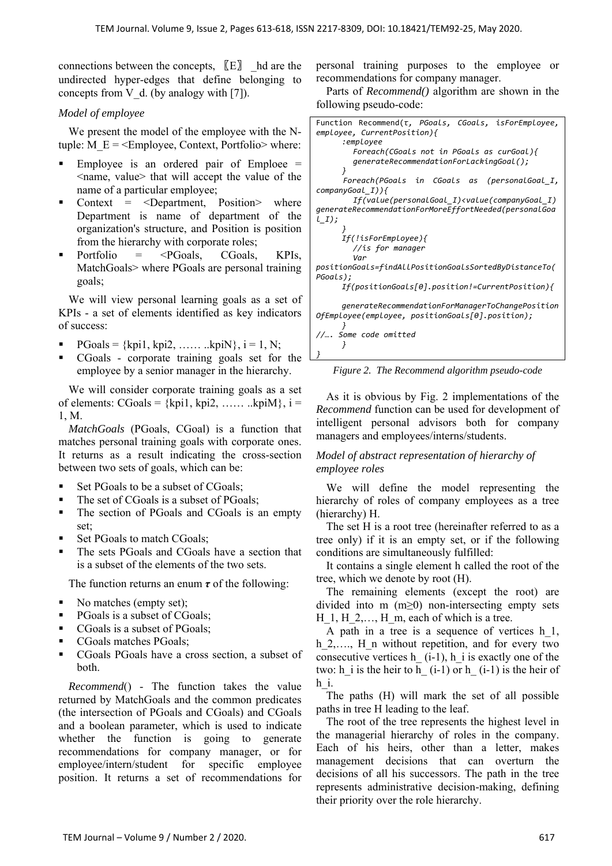connections between the concepts,  $[E]$  hd are the undirected hyper-edges that define belonging to concepts from V d. (by analogy with [7]).

#### *Model of employee*

We present the model of the employee with the Ntuple:  $M_E$  = <Employee, Context, Portfolio> where:

- Employee is an ordered pair of Emploee  $=$ <name, value> that will accept the value of the name of a particular employee;
- Context = <Department, Position> where Department is name of department of the organization's structure, and Position is position from the hierarchy with corporate roles;
- Portfolio  $=$   $\leq$ PGoals, CGoals, KPIs, MatchGoals> where PGoals are personal training goals;

We will view personal learning goals as a set of KPIs - a set of elements identified as key indicators of success:

- PGoals = {kpi1, kpi2, …… ..kpiN},  $i = 1, N$ ;
- CGoals corporate training goals set for the employee by a senior manager in the hierarchy.

We will consider corporate training goals as a set of elements:  $CGoals = \{kpi1, kpi2, \ldots, kpiM\}, i =$ 1, M.

*MatchGoals* (PGoals, CGoal) is a function that matches personal training goals with corporate ones. It returns as a result indicating the cross-section between two sets of goals, which can be:

- Set PGoals to be a subset of CGoals;
- The set of CGoals is a subset of PGoals;
- The section of PGoals and CGoals is an empty set;
- Set PGoals to match CGoals;
- The sets PGoals and CGoals have a section that is a subset of the elements of the two sets.

The function returns an enum *τ* of the following:

- No matches (empty set);
- PGoals is a subset of CGoals;
- CGoals is a subset of PGoals;
- CGoals matches PGoals;
- CGoals PGoals have a cross section, a subset of both.

*Recommend*() - The function takes the value returned by MatchGoals and the common predicates (the intersection of PGoals and CGoals) and CGoals and a boolean parameter, which is used to indicate whether the function is going to generate recommendations for company manager, or for employee/intern/student for specific employee position. It returns a set of recommendations for

personal training purposes to the employee or recommendations for company manager.

Parts of *Recommend()* algorithm are shown in the following pseudo-code:



*Figure 2. The Recommend algorithm pseudo-code* 

As it is obvious by Fig. 2 implementations of the *Recommend* function can be used for development of intelligent personal advisors both for company managers and employees/interns/students.

# *Model of abstract representation of hierarchy of employee roles*

We will define the model representing the hierarchy of roles of company employees as a tree (hierarchy) H.

The set H is a root tree (hereinafter referred to as a tree only) if it is an empty set, or if the following conditions are simultaneously fulfilled:

It contains a single element h called the root of the tree, which we denote by root (H).

The remaining elements (except the root) are divided into m (m≥0) non-intersecting empty sets  $H_1, H_2, \ldots, H_m$ , each of which is a tree.

A path in a tree is a sequence of vertices h\_1, h 2,…., H n without repetition, and for every two consecutive vertices h $(i-1)$ , h i is exactly one of the two: h i is the heir to h $($ i-1) or h $($ i-1) is the heir of h\_i.

The paths (H) will mark the set of all possible paths in tree H leading to the leaf.

The root of the tree represents the highest level in the managerial hierarchy of roles in the company. Each of his heirs, other than a letter, makes management decisions that can overturn the decisions of all his successors. The path in the tree represents administrative decision-making, defining their priority over the role hierarchy.